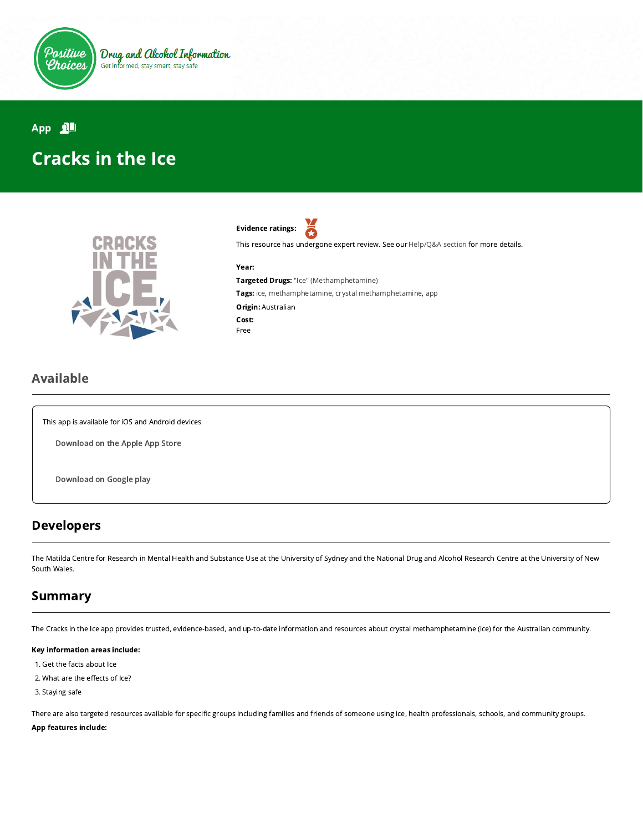

# App  $\mathbf{A}$ Cracks in the Ice



Evidence ratings: Я

This resource has undergone expert review. See our [Help/Q&A section](https://positivechoices.org.au/help/questions-and-answers/) for more details.

#### Year:

Targeted Drugs: "Ice" (Methamphetamine) Tags: ice, methamphetamine, crystal methamphetamine, app Origin: Australian Cost: Free

### Available

This app is available for iOS and Android devices

[Download](https://apps.apple.com/us/app/cracks-in-the-ice/id1278036977) on the Apple App Store

[Download](https://play.google.com/store/apps/details?id=com.crems.cracksintheice) on Google play

### Developers

The Matilda Centre for Research in Mental Health and Substance Use at the University of Sydney and the National Drug and Alcohol Research Centre at the University of New South Wales.

## Summary

The Cracks in the Ice app provides trusted, evidence-based, and up-to-date information and resources about crystal methamphetamine (ice) for the Australian community.

#### Key information areas include:

- 1. Get the facts about Ice
- 2. What are the effects of Ice?

3. Staying safe

There are also targeted resources available for specific groups including families and friends of someone using ice, health professionals, schools, and community groups.

### App features include: